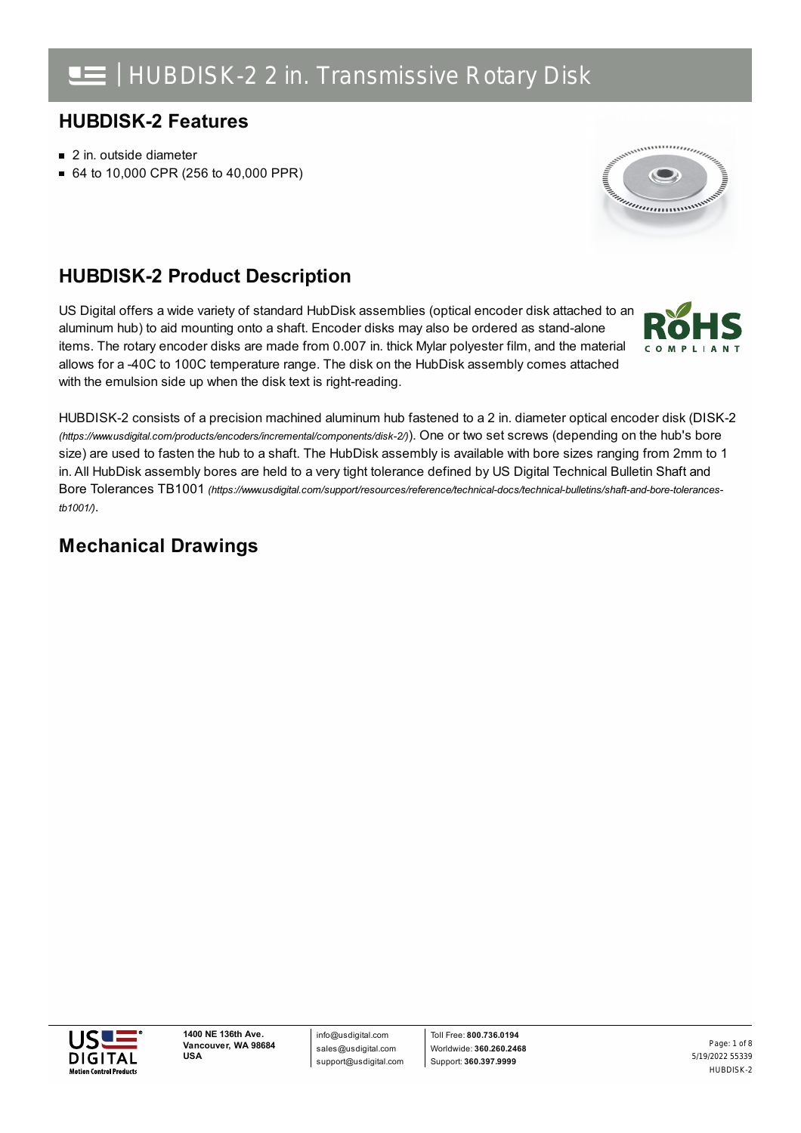## **HUBDISK-2 Features**

- 2 in. outside diameter
- 64 to 10,000 CPR (256 to 40,000 PPR)



## **HUBDISK-2 Product Description**

US Digital offers a wide variety of standard HubDisk assemblies (optical encoder disk attached to an aluminum hub) to aid mounting onto a shaft. Encoder disks may also be ordered as stand-alone items. The rotary encoder disks are made from 0.007 in. thick Mylar polyester film, and the material allows for a -40C to 100C temperature range. The disk on the HubDisk assembly comes attached with the emulsion side up when the disk text is right-reading.



HUBDISK-2 consists of a precision machined aluminum hub fastened to a 2 in. diameter optical encoder disk (DISK-2 *(https://www.usdigital.com/products/encoders/incremental/components/disk-2/)*). One or two set screws (depending on the hub's bore size) are used to fasten the hub to a shaft. The HubDisk assembly is available with bore sizes ranging from 2mm to 1 in. All HubDisk assembly bores are held to a very tight tolerance defined by US Digital Technical Bulletin Shaft and Bore Tolerances TB1001 *[\(https://www.usdigital.com/support/resources/reference/technical-docs/technical-bulletins/shaft-and-bore-tolerances](https://www.usdigital.com/support/resources/reference/technical-docs/technical-bulletins/shaft-and-bore-tolerances-tb1001/)tb1001/)*.

### **Mechanical Drawings**

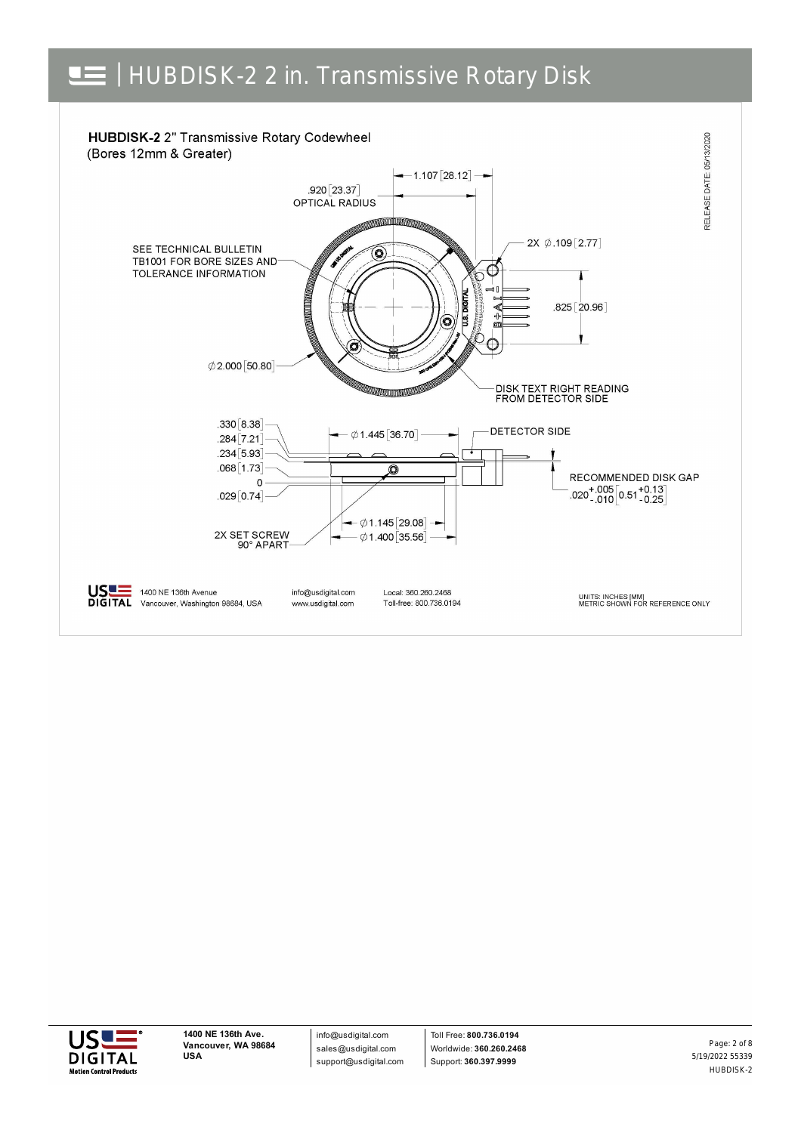





info@usdigital.com sales@usdigital.com support@usdigital.com

Toll Free: **800.736.0194** Worldwide: **360.260.2468** Support: **360.397.9999**

5/19/2022 55339 HUBDISK-2 Page: 2 of 8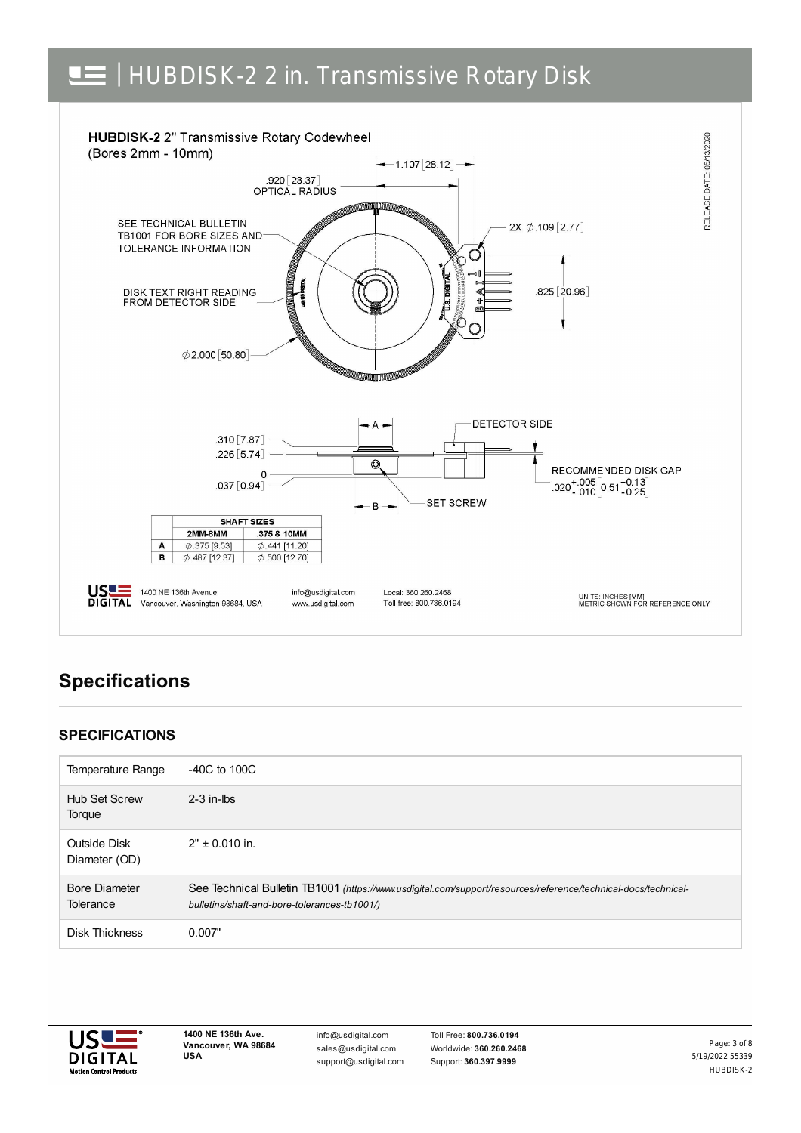## | HUBDISK-2 2 in. Transmissive Rotary Disk



## **Specifications**

### **SPECIFICATIONS**

| Temperature Range                        | $-40C$ to $100C$                                                                                                                                               |
|------------------------------------------|----------------------------------------------------------------------------------------------------------------------------------------------------------------|
| <b>Hub Set Screw</b><br>Torque           | $2-3$ in-lbs                                                                                                                                                   |
| Outside Disk<br>Diameter (OD)            | $2" \pm 0.010$ in.                                                                                                                                             |
| <b>Bore Diameter</b><br><b>Tolerance</b> | See Technical Bulletin TB1001 (https://www.usdigital.com/support/resources/reference/technical-docs/technical-<br>bulletins/shaft-and-bore-tolerances-tb1001/) |
| <b>Disk Thickness</b>                    | 0.007"                                                                                                                                                         |



**1400 NE 136th Ave. Vancouver, WA 98684 USA**

info@usdigital.com sales@usdigital.com support@usdigital.com

Toll Free: **800.736.0194** Worldwide: **360.260.2468** Support: **360.397.9999**

5/19/2022 55339 HUBDISK-2 Page: 3 of 8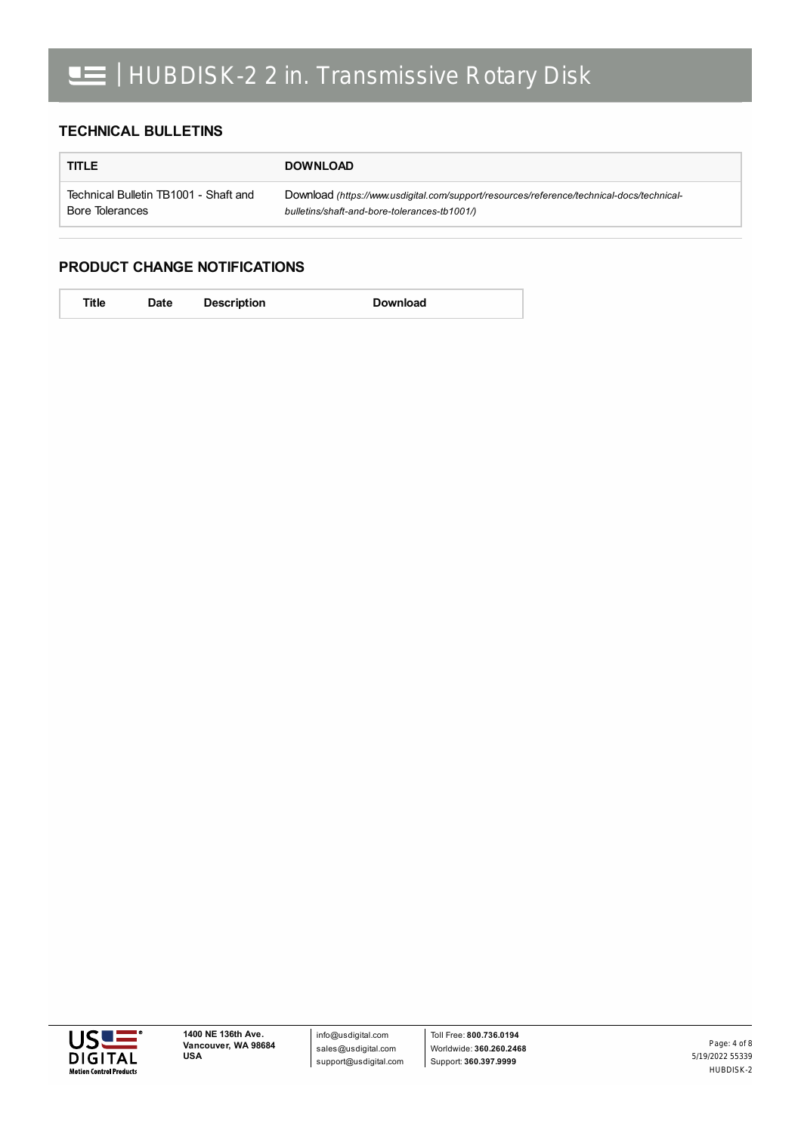#### **TECHNICAL BULLETINS**

| <b>TITLE</b>                          | <b>DOWNLOAD</b>                                                                           |  |
|---------------------------------------|-------------------------------------------------------------------------------------------|--|
| Technical Bulletin TB1001 - Shaft and | Download (https://www.usdigital.com/support/resources/reference/technical-docs/technical- |  |
| Bore Tolerances                       | bulletins/shaft-and-bore-tolerances-tb1001/)                                              |  |

#### **PRODUCT CHANGE NOTIFICATIONS**

| Title | <b>Date</b> | <b>Description</b> | <b>Download</b> |
|-------|-------------|--------------------|-----------------|
|       |             |                    |                 |

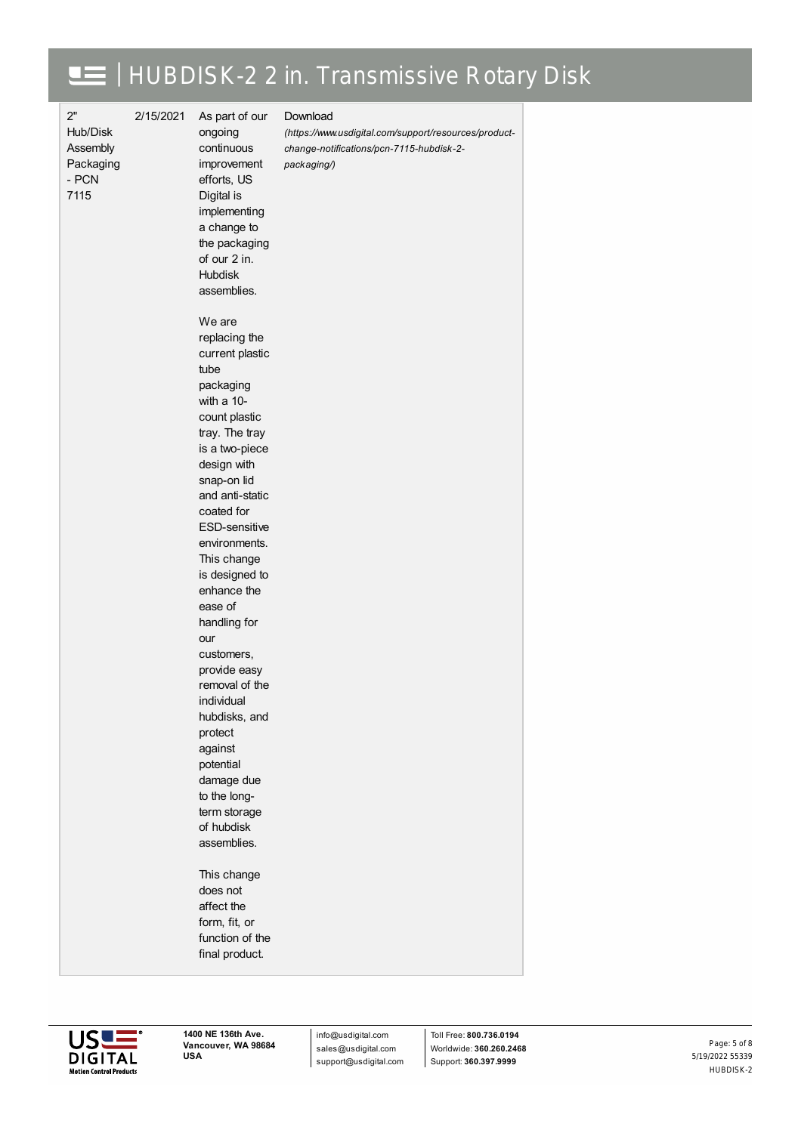## | HUBDISK-2 2 in. Transmissive Rotary Disk

2" Hub/Disk Assembly Packaging - PCN

2/15/2021 As part of our ongoing

> continuous improvement

#### Download

*[\(https://www.usdigital.com/support/resources/product](https://www.usdigital.com/support/resources/product-change-notifications/pcn-7115-hubdisk-2-packaging/)change-notifications/pcn-7115-hubdisk-2 packaging/)*

7115 efforts, US Digital is implementing a change to the packaging of our 2 in. Hubdisk assemblies. We are replacing the current plastic tube packaging with a 10 count plastic tray. The tray is a two-piece design with snap-on lid and anti-static coated for ESD-sensitive environments. This change is designed to enhance the ease of handling for our customers, provide easy removal of the individual hubdisks, and protect against potential damage due to the longterm storage of hubdisk assemblies. This change does not affect the form, fit, or function of the final product.



info@usdigital.com sales@usdigital.com support@usdigital.com

Toll Free: **800.736.0194** Worldwide: **360.260.2468** Support: **360.397.9999**

5/19/2022 55339 HUBDISK-2 Page: 5 of 8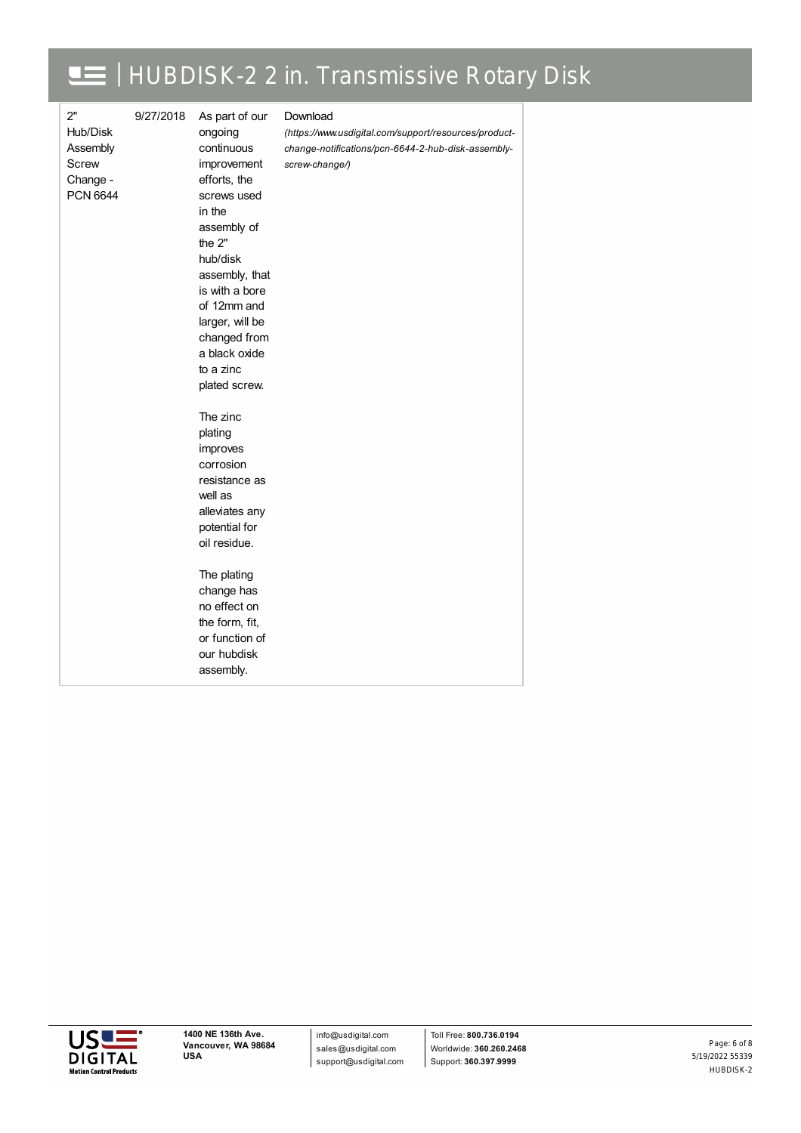#### | HUBDISK-2 2 in. Transmissive Rotary Disk  $\blacksquare$

| assembly. | 2"<br>Hub/Disk<br>Assembly<br>Screw<br>Change -<br><b>PCN 6644</b> | 9/27/2018 | As part of our<br>ongoing<br>continuous<br>improvement<br>efforts, the<br>screws used<br>in the<br>assembly of<br>the 2"<br>hub/disk<br>assembly, that<br>is with a bore<br>of 12mm and<br>larger, will be<br>changed from<br>a black oxide<br>to a zinc<br>plated screw.<br>The zinc<br>plating<br>improves<br>corrosion<br>resistance as<br>well as<br>alleviates any<br>potential for<br>oil residue.<br>The plating<br>change has<br>no effect on<br>the form, fit,<br>or function of<br>our hubdisk | Download<br>(https://www.usdigital.com/support/resources/product-<br>change-notifications/pcn-6644-2-hub-disk-assembly-<br>screw-change/) |
|-----------|--------------------------------------------------------------------|-----------|----------------------------------------------------------------------------------------------------------------------------------------------------------------------------------------------------------------------------------------------------------------------------------------------------------------------------------------------------------------------------------------------------------------------------------------------------------------------------------------------------------|-------------------------------------------------------------------------------------------------------------------------------------------|
|-----------|--------------------------------------------------------------------|-----------|----------------------------------------------------------------------------------------------------------------------------------------------------------------------------------------------------------------------------------------------------------------------------------------------------------------------------------------------------------------------------------------------------------------------------------------------------------------------------------------------------------|-------------------------------------------------------------------------------------------------------------------------------------------|



info@usdigital.com sales@usdigital.com support@usdigital.com

Toll Free: **800.736.0194** Worldwide: **360.260.2468** Support: **360.397.9999**

5/19/2022 55339 HUBDISK-2 Page: 6 of 8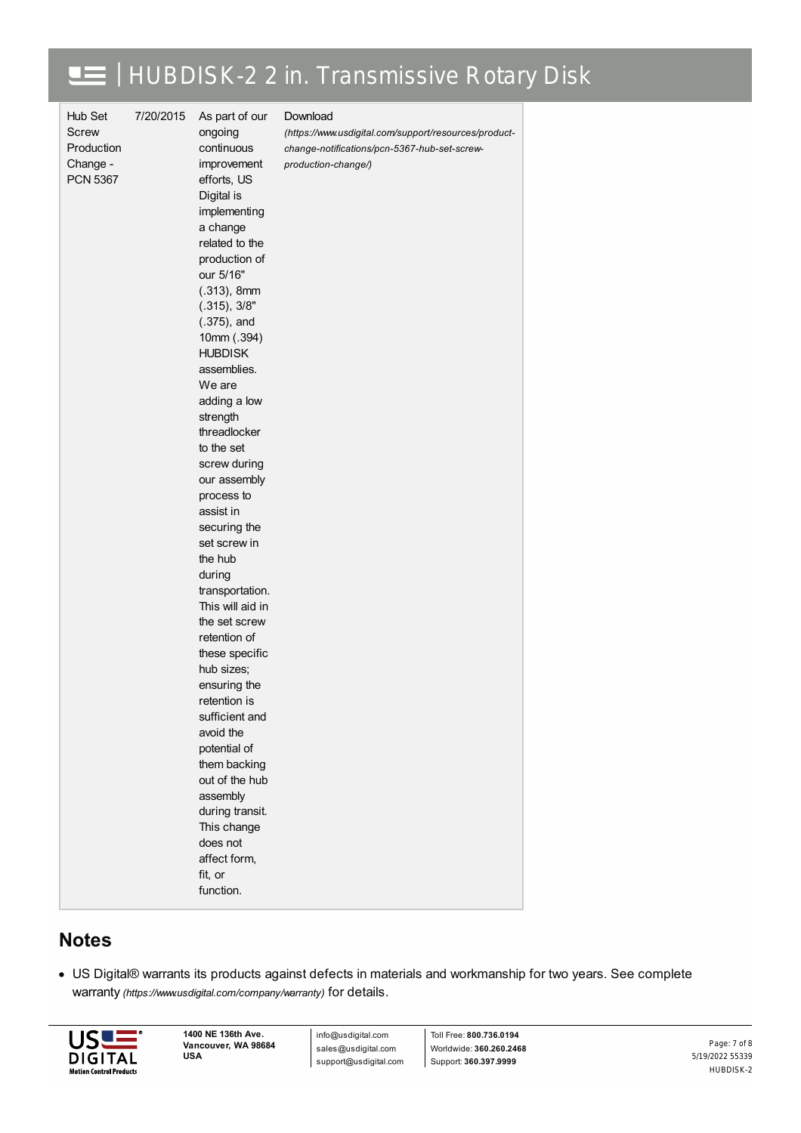# | HUBDISK-2 2 in. Transmissive Rotary Disk

| Hub Set         | 7/20/2015 | As part of our               | Download                                              |
|-----------------|-----------|------------------------------|-------------------------------------------------------|
| <b>Screw</b>    |           | ongoing                      | (https://www.usdigital.com/support/resources/product- |
| Production      |           | continuous                   | change-notifications/pcn-5367-hub-set-screw-          |
| Change -        |           | improvement                  | production-change/)                                   |
| <b>PCN 5367</b> |           | efforts, US                  |                                                       |
|                 |           | Digital is                   |                                                       |
|                 |           | implementing                 |                                                       |
|                 |           | a change                     |                                                       |
|                 |           | related to the               |                                                       |
|                 |           | production of                |                                                       |
|                 |           | our 5/16"                    |                                                       |
|                 |           | $(.313)$ , 8mm               |                                                       |
|                 |           | (.315), 3/8"                 |                                                       |
|                 |           | $(.375)$ , and               |                                                       |
|                 |           | 10mm (.394)                  |                                                       |
|                 |           | <b>HUBDISK</b>               |                                                       |
|                 |           | assemblies.                  |                                                       |
|                 |           | We are                       |                                                       |
|                 |           | adding a low                 |                                                       |
|                 |           | strength                     |                                                       |
|                 |           | threadlocker                 |                                                       |
|                 |           | to the set                   |                                                       |
|                 |           | screw during                 |                                                       |
|                 |           | our assembly                 |                                                       |
|                 |           | process to<br>assist in      |                                                       |
|                 |           |                              |                                                       |
|                 |           | securing the<br>set screw in |                                                       |
|                 |           | the hub                      |                                                       |
|                 |           | during                       |                                                       |
|                 |           | transportation.              |                                                       |
|                 |           | This will aid in             |                                                       |
|                 |           | the set screw                |                                                       |
|                 |           | retention of                 |                                                       |
|                 |           | these specific               |                                                       |
|                 |           | hub sizes:                   |                                                       |
|                 |           | ensuring the                 |                                                       |
|                 |           | retention is                 |                                                       |
|                 |           | sufficient and               |                                                       |
|                 |           | avoid the                    |                                                       |
|                 |           | potential of                 |                                                       |
|                 |           | them backing                 |                                                       |
|                 |           | out of the hub               |                                                       |
|                 |           | assembly                     |                                                       |
|                 |           | during transit.              |                                                       |
|                 |           | This change                  |                                                       |
|                 |           | does not                     |                                                       |
|                 |           | affect form,                 |                                                       |
|                 |           | fit, or                      |                                                       |
|                 |           | function.                    |                                                       |
|                 |           |                              |                                                       |

### **Notes**

US Digital® warrants its products against defects in materials and workmanship for two years. See complete warranty *[\(https://www.usdigital.com/company/warranty\)](https://www.usdigital.com/company/warranty)* for details.



info@usdigital.com sales@usdigital.com support@usdigital.com

Toll Free: **800.736.0194** Worldwide: **360.260.2468** Support: **360.397.9999**

5/19/2022 55339 HUBDISK-2 Page: 7 of 8